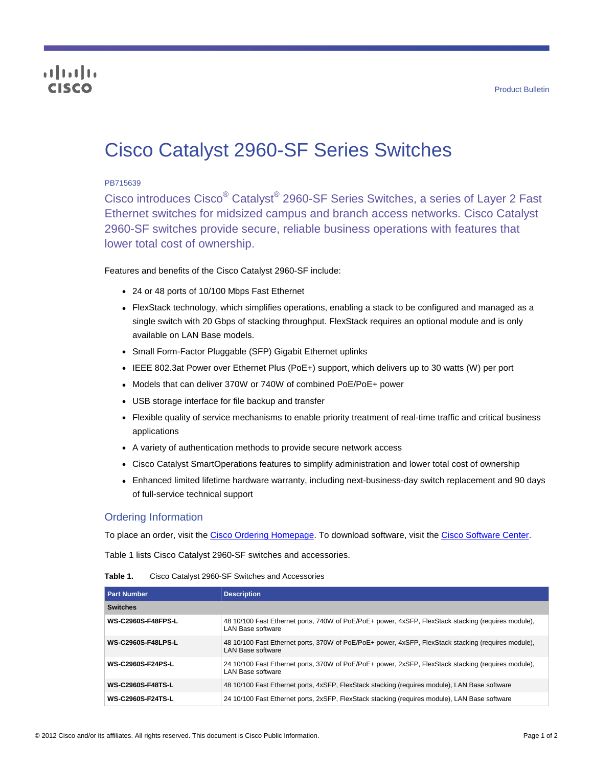# altalia cisco

# Cisco Catalyst 2960-SF Series Switches

#### PB715639

Cisco introduces Cisco<sup>®</sup> Catalyst<sup>®</sup> 2960-SF Series Switches, a series of Layer 2 Fast Ethernet switches for midsized campus and branch access networks. Cisco Catalyst 2960-SF switches provide secure, reliable business operations with features that lower total cost of ownership.

Features and benefits of the Cisco Catalyst 2960-SF include:

- 24 or 48 ports of 10/100 Mbps Fast Ethernet
- FlexStack technology, which simplifies operations, enabling a stack to be configured and managed as a single switch with 20 Gbps of stacking throughput. FlexStack requires an optional module and is only available on LAN Base models.
- Small Form-Factor Pluggable (SFP) Gigabit Ethernet uplinks
- IEEE 802.3at Power over Ethernet Plus (PoE+) support, which delivers up to 30 watts (W) per port
- Models that can deliver 370W or 740W of combined PoE/PoE+ power
- USB storage interface for file backup and transfer
- Flexible quality of service mechanisms to enable priority treatment of real-time traffic and critical business applications
- A variety of authentication methods to provide secure network access
- Cisco Catalyst SmartOperations features to simplify administration and lower total cost of ownership
- Enhanced limited lifetime hardware warranty, including next-business-day switch replacement and 90 days of full-service technical support

## Ordering Information

To place an order, visit the [Cisco Ordering Homepage.](http://www.cisco.com/en/US/ordering/index.shtml) To download software, visit the [Cisco Software Center.](http://www.cisco.com/public/sw-center/index.shtml)

Table 1 lists Cisco Catalyst 2960-SF switches and accessories.

| Table 1. | Cisco Catalyst 2960-SF Switches and Accessories |
|----------|-------------------------------------------------|
|          |                                                 |

| <b>Part Number</b>        | <b>Description</b>                                                                                                        |  |
|---------------------------|---------------------------------------------------------------------------------------------------------------------------|--|
| <b>Switches</b>           |                                                                                                                           |  |
| <b>WS-C2960S-F48FPS-L</b> | 48 10/100 Fast Ethernet ports, 740W of PoE/PoE+ power, 4xSFP, FlexStack stacking (requires module),<br>I AN Base software |  |
| <b>WS-C2960S-F48LPS-L</b> | 48 10/100 Fast Ethernet ports, 370W of PoE/PoE+ power, 4xSFP, FlexStack stacking (requires module),<br>I AN Base software |  |
| <b>WS-C2960S-F24PS-L</b>  | 24 10/100 Fast Ethernet ports, 370W of PoE/PoE+ power, 2xSFP, FlexStack stacking (requires module),<br>LAN Base software  |  |
| <b>WS-C2960S-F48TS-L</b>  | 48 10/100 Fast Ethernet ports, 4xSFP, FlexStack stacking (requires module), LAN Base software                             |  |
| <b>WS-C2960S-F24TS-L</b>  | 24 10/100 Fast Ethernet ports, 2xSFP, FlexStack stacking (requires module), LAN Base software                             |  |